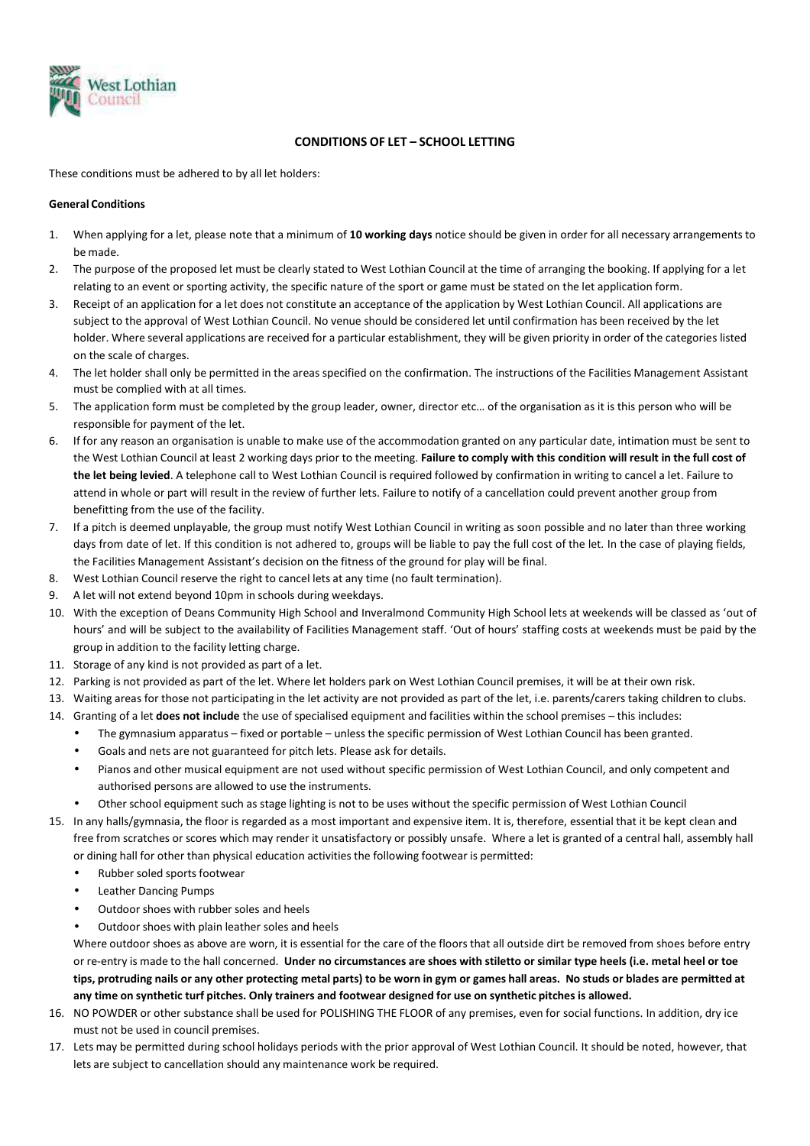

# **CONDITIONS OF LET – SCHOOL LETTING**

These conditions must be adhered to by all let holders:

# **General Conditions**

- 1. When applying for a let, please note that a minimum of **10 working days** notice should be given in order for all necessary arrangements to be made.
- 2. The purpose of the proposed let must be clearly stated to West Lothian Council at the time of arranging the booking. If applying for a let relating to an event or sporting activity, the specific nature of the sport or game must be stated on the let application form.
- 3. Receipt of an application for a let does not constitute an acceptance of the application by West Lothian Council. All applications are subject to the approval of West Lothian Council. No venue should be considered let until confirmation has been received by the let holder. Where several applications are received for a particular establishment, they will be given priority in order of the categories listed on the scale of charges.
- 4. The let holder shall only be permitted in the areas specified on the confirmation. The instructions of the Facilities Management Assistant must be complied with at all times.
- 5. The application form must be completed by the group leader, owner, director etc… of the organisation as it is this person who will be responsible for payment of the let.
- 6. If for any reason an organisation is unable to make use of the accommodation granted on any particular date, intimation must be sent to the West Lothian Council at least 2 working days prior to the meeting. **Failure to comply with this condition will result in the full cost of the let being levied**. A telephone call to West Lothian Council is required followed by confirmation in writing to cancel a let. Failure to attend in whole or part will result in the review of further lets. Failure to notify of a cancellation could prevent another group from benefitting from the use of the facility.
- 7. If a pitch is deemed unplayable, the group must notify West Lothian Council in writing as soon possible and no later than three working days from date of let. If this condition is not adhered to, groups will be liable to pay the full cost of the let. In the case of playing fields, the Facilities Management Assistant's decision on the fitness of the ground for play will be final.
- 8. West Lothian Council reserve the right to cancel lets at any time (no fault termination).
- 9. A let will not extend beyond 10pm in schools during weekdays.
- 10. With the exception of Deans Community High School and Inveralmond Community High School lets at weekends will be classed as 'out of hours' and will be subject to the availability of Facilities Management staff. 'Out of hours' staffing costs at weekends must be paid by the group in addition to the facility letting charge.
- 11. Storage of any kind is not provided as part of a let.
- 12. Parking is not provided as part of the let. Where let holders park on West Lothian Council premises, it will be at their own risk.
- 13. Waiting areas for those not participating in the let activity are not provided as part of the let, i.e. parents/carers taking children to clubs.
- 14. Granting of a let **does not include** the use of specialised equipment and facilities within the school premises this includes:
	- The gymnasium apparatus fixed or portable unless the specific permission of West Lothian Council has been granted.
	- Goals and nets are not guaranteed for pitch lets. Please ask for details.
	- Pianos and other musical equipment are not used without specific permission of West Lothian Council, and only competent and authorised persons are allowed to use the instruments.
	- Other school equipment such as stage lighting is not to be uses without the specific permission of West Lothian Council
- 15. In any halls/gymnasia, the floor is regarded as a most important and expensive item. It is, therefore, essential that it be kept clean and free from scratches or scores which may render it unsatisfactory or possibly unsafe. Where a let is granted of a central hall, assembly hall or dining hall for other than physical education activities the following footwear is permitted:
	- Rubber soled sports footwear
	- Leather Dancing Pumps
	- Outdoor shoes with rubber soles and heels
	- Outdoor shoes with plain leather soles and heels

Where outdoor shoes as above are worn, it is essential for the care of the floors that all outside dirt be removed from shoes before entry or re-entry is made to the hall concerned. **Under no circumstances are shoes with stiletto or similar type heels (i.e. metal heel or toe tips, protruding nails or any other protecting metal parts) to be worn in gym or games hall areas. No studs or blades are permitted at any time on synthetic turf pitches. Only trainers and footwear designed for use on synthetic pitches is allowed.**

- 16. NO POWDER or other substance shall be used for POLISHING THE FLOOR of any premises, even for social functions. In addition, dry ice must not be used in council premises.
- 17. Lets may be permitted during school holidays periods with the prior approval of West Lothian Council. It should be noted, however, that lets are subject to cancellation should any maintenance work be required.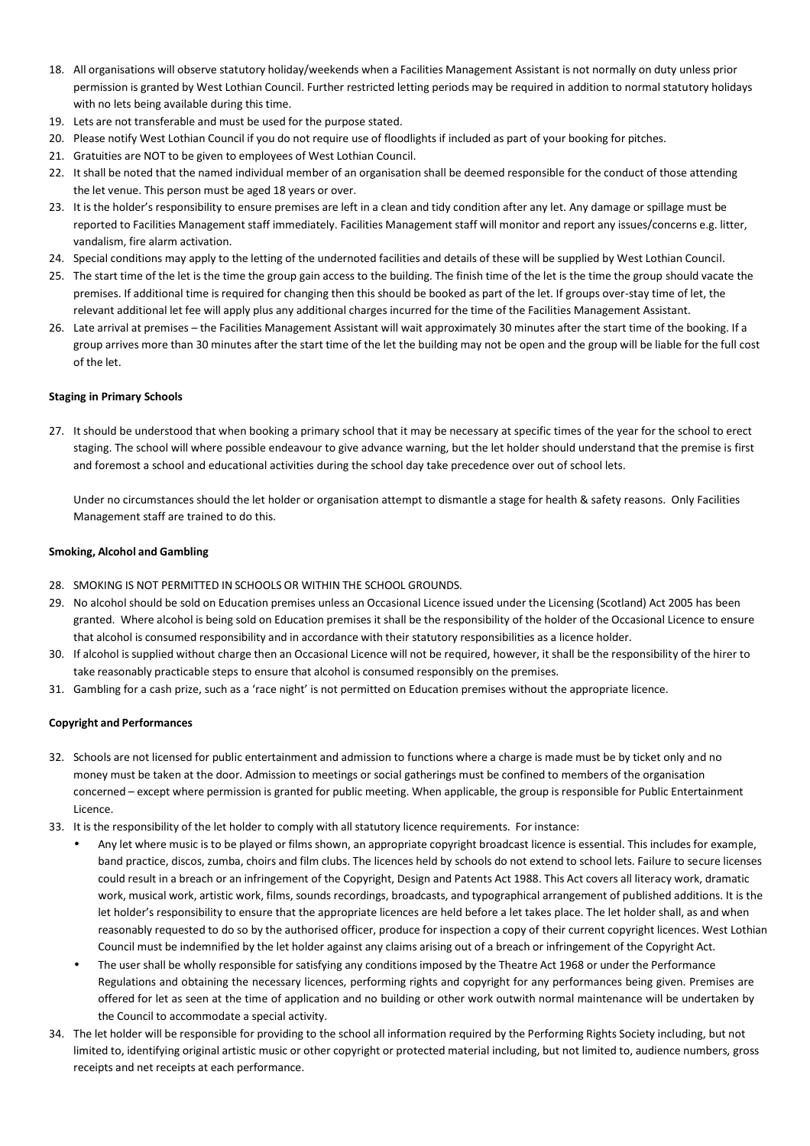- 18. All organisations will observe statutory holiday/weekends when a Facilities Management Assistant is not normally on duty unless prior permission is granted by West Lothian Council. Further restricted letting periods may be required in addition to normal statutory holidays with no lets being available during this time.
- 19. Lets are not transferable and must be used for the purpose stated.
- 20. Please notify West Lothian Council if you do not require use of floodlights if included as part of your booking for pitches.
- 21. Gratuities are NOT to be given to employees of West Lothian Council.
- 22. It shall be noted that the named individual member of an organisation shall be deemed responsible for the conduct of those attending the let venue. This person must be aged 18 years or over.
- 23. It is the holder's responsibility to ensure premises are left in a clean and tidy condition after any let. Any damage or spillage must be reported to Facilities Management staff immediately. Facilities Management staff will monitor and report any issues/concerns e.g. litter, vandalism, fire alarm activation.
- 24. Special conditions may apply to the letting of the undernoted facilities and details of these will be supplied by West Lothian Council.
- 25. The start time of the let is the time the group gain access to the building. The finish time of the let is the time the group should vacate the premises. If additional time is required for changing then this should be booked as part of the let. If groups over-stay time of let, the relevant additional let fee will apply plus any additional charges incurred for the time of the Facilities Management Assistant.
- 26. Late arrival at premises the Facilities Management Assistant will wait approximately 30 minutes after the start time of the booking. If a group arrives more than 30 minutes after the start time of the let the building may not be open and the group will be liable for the full cost of the let.

# **Staging in Primary Schools**

27. It should be understood that when booking a primary school that it may be necessary at specific times of the year for the school to erect staging. The school will where possible endeavour to give advance warning, but the let holder should understand that the premise is first and foremost a school and educational activities during the school day take precedence over out of school lets.

Under no circumstances should the let holder or organisation attempt to dismantle a stage for health & safety reasons. Only Facilities Management staff are trained to do this.

# **Smoking, Alcohol and Gambling**

- 28. SMOKING IS NOT PERMITTED IN SCHOOLS OR WITHIN THE SCHOOL GROUNDS.
- 29. No alcohol should be sold on Education premises unless an Occasional Licence issued under the Licensing (Scotland) Act 2005 has been granted. Where alcohol is being sold on Education premises it shall be the responsibility of the holder of the Occasional Licence to ensure that alcohol is consumed responsibility and in accordance with their statutory responsibilities as a licence holder.
- 30. If alcohol is supplied without charge then an Occasional Licence will not be required, however, it shall be the responsibility of the hirer to take reasonably practicable steps to ensure that alcohol is consumed responsibly on the premises.
- 31. Gambling for a cash prize, such as a 'race night' is not permitted on Education premises without the appropriate licence.

# **Copyright and Performances**

- 32. Schools are not licensed for public entertainment and admission to functions where a charge is made must be by ticket only and no money must be taken at the door. Admission to meetings or social gatherings must be confined to members of the organisation concerned – except where permission is granted for public meeting. When applicable, the group is responsible for Public Entertainment Licence.
- 33. It is the responsibility of the let holder to comply with all statutory licence requirements. For instance:
	- Any let where music is to be played or films shown, an appropriate copyright broadcast licence is essential. This includes for example, band practice, discos, zumba, choirs and film clubs. The licences held by schools do not extend to school lets. Failure to secure licenses could result in a breach or an infringement of the Copyright, Design and Patents Act 1988. This Act covers all literacy work, dramatic work, musical work, artistic work, films, sounds recordings, broadcasts, and typographical arrangement of published additions. It is the let holder's responsibility to ensure that the appropriate licences are held before a let takes place. The let holder shall, as and when reasonably requested to do so by the authorised officer, produce for inspection a copy of their current copyright licences. West Lothian Council must be indemnified by the let holder against any claims arising out of a breach or infringement of the Copyright Act.
	- The user shall be wholly responsible for satisfying any conditions imposed by the Theatre Act 1968 or under the Performance Regulations and obtaining the necessary licences, performing rights and copyright for any performances being given. Premises are offered for let as seen at the time of application and no building or other work outwith normal maintenance will be undertaken by the Council to accommodate a special activity.
- 34. The let holder will be responsible for providing to the school all information required by the Performing Rights Society including, but not limited to, identifying original artistic music or other copyright or protected material including, but not limited to, audience numbers, gross receipts and net receipts at each performance.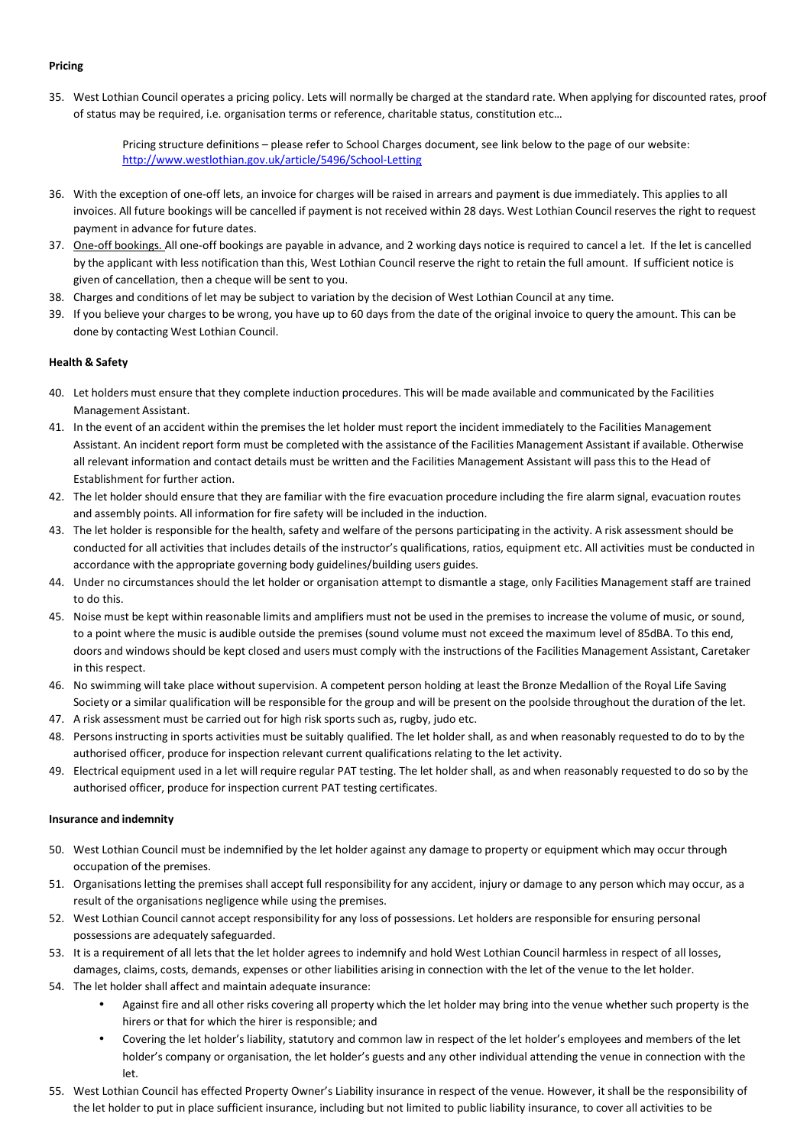## **Pricing**

35. West Lothian Council operates a pricing policy. Lets will normally be charged at the standard rate. When applying for discounted rates, proof of status may be required, i.e. organisation terms or reference, charitable status, constitution etc…

> Pricing structure definitions – please refer to School Charges document, see link below to the page of our website: http://www.westlothian.gov.uk/article/5496/School-Letting

- 36. With the exception of one-off lets, an invoice for charges will be raised in arrears and payment is due immediately. This applies to all invoices. All future bookings will be cancelled if payment is not received within 28 days. West Lothian Council reserves the right to request payment in advance for future dates.
- 37. One-off bookings. All one-off bookings are payable in advance, and 2 working days notice is required to cancel a let. If the let is cancelled by the applicant with less notification than this, West Lothian Council reserve the right to retain the full amount. If sufficient notice is given of cancellation, then a cheque will be sent to you.
- 38. Charges and conditions of let may be subject to variation by the decision of West Lothian Council at any time.
- 39. If you believe your charges to be wrong, you have up to 60 days from the date of the original invoice to query the amount. This can be done by contacting West Lothian Council.

# **Health & Safety**

- 40. Let holders must ensure that they complete induction procedures. This will be made available and communicated by the Facilities Management Assistant.
- 41. In the event of an accident within the premises the let holder must report the incident immediately to the Facilities Management Assistant. An incident report form must be completed with the assistance of the Facilities Management Assistant if available. Otherwise all relevant information and contact details must be written and the Facilities Management Assistant will pass this to the Head of Establishment for further action.
- 42. The let holder should ensure that they are familiar with the fire evacuation procedure including the fire alarm signal, evacuation routes and assembly points. All information for fire safety will be included in the induction.
- 43. The let holder is responsible for the health, safety and welfare of the persons participating in the activity. A risk assessment should be conducted for all activities that includes details of the instructor's qualifications, ratios, equipment etc. All activities must be conducted in accordance with the appropriate governing body guidelines/building users guides.
- 44. Under no circumstances should the let holder or organisation attempt to dismantle a stage, only Facilities Management staff are trained to do this.
- 45. Noise must be kept within reasonable limits and amplifiers must not be used in the premises to increase the volume of music, or sound, to a point where the music is audible outside the premises (sound volume must not exceed the maximum level of 85dBA. To this end, doors and windows should be kept closed and users must comply with the instructions of the Facilities Management Assistant, Caretaker in this respect.
- 46. No swimming will take place without supervision. A competent person holding at least the Bronze Medallion of the Royal Life Saving Society or a similar qualification will be responsible for the group and will be present on the poolside throughout the duration of the let.
- 47. A risk assessment must be carried out for high risk sports such as, rugby, judo etc.
- 48. Persons instructing in sports activities must be suitably qualified. The let holder shall, as and when reasonably requested to do to by the authorised officer, produce for inspection relevant current qualifications relating to the let activity.
- 49. Electrical equipment used in a let will require regular PAT testing. The let holder shall, as and when reasonably requested to do so by the authorised officer, produce for inspection current PAT testing certificates.

# **Insurance and indemnity**

- 50. West Lothian Council must be indemnified by the let holder against any damage to property or equipment which may occur through occupation of the premises.
- 51. Organisations letting the premises shall accept full responsibility for any accident, injury or damage to any person which may occur, as a result of the organisations negligence while using the premises.
- 52. West Lothian Council cannot accept responsibility for any loss of possessions. Let holders are responsible for ensuring personal possessions are adequately safeguarded.
- 53. It is a requirement of all lets that the let holder agrees to indemnify and hold West Lothian Council harmless in respect of all losses, damages, claims, costs, demands, expenses or other liabilities arising in connection with the let of the venue to the let holder.
- 54. The let holder shall affect and maintain adequate insurance:
	- Against fire and all other risks covering all property which the let holder may bring into the venue whether such property is the hirers or that for which the hirer is responsible; and
	- Covering the let holder's liability, statutory and common law in respect of the let holder's employees and members of the let holder's company or organisation, the let holder's guests and any other individual attending the venue in connection with the let.
- 55. West Lothian Council has effected Property Owner's Liability insurance in respect of the venue. However, it shall be the responsibility of the let holder to put in place sufficient insurance, including but not limited to public liability insurance, to cover all activities to be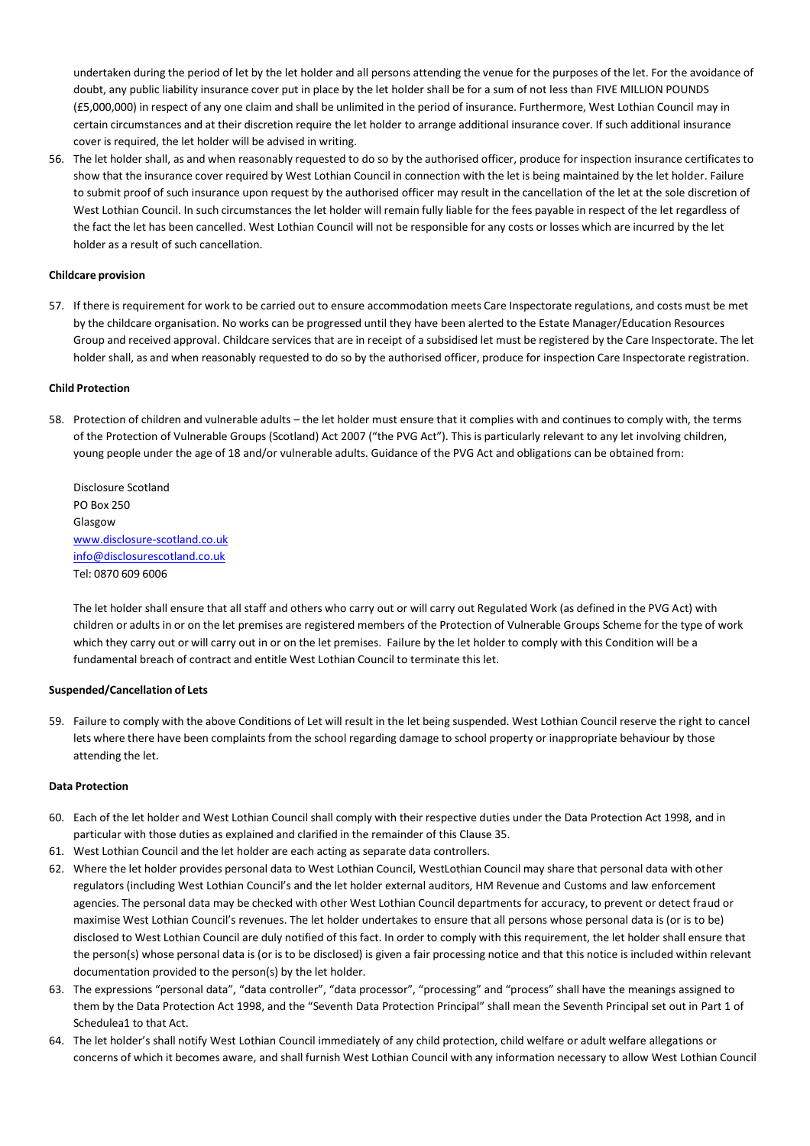undertaken during the period of let by the let holder and all persons attending the venue for the purposes of the let. For the avoidance of doubt, any public liability insurance cover put in place by the let holder shall be for a sum of not less than FIVE MILLION POUNDS (£5,000,000) in respect of any one claim and shall be unlimited in the period of insurance. Furthermore, West Lothian Council may in certain circumstances and at their discretion require the let holder to arrange additional insurance cover. If such additional insurance cover is required, the let holder will be advised in writing.

56. The let holder shall, as and when reasonably requested to do so by the authorised officer, produce for inspection insurance certificates to show that the insurance cover required by West Lothian Council in connection with the let is being maintained by the let holder. Failure to submit proof of such insurance upon request by the authorised officer may result in the cancellation of the let at the sole discretion of West Lothian Council. In such circumstances the let holder will remain fully liable for the fees payable in respect of the let regardless of the fact the let has been cancelled. West Lothian Council will not be responsible for any costs or losses which are incurred by the let holder as a result of such cancellation.

## **Childcare provision**

57. If there is requirement for work to be carried out to ensure accommodation meets Care Inspectorate regulations, and costs must be met by the childcare organisation. No works can be progressed until they have been alerted to the Estate Manager/Education Resources Group and received approval. Childcare services that are in receipt of a subsidised let must be registered by the Care Inspectorate. The let holder shall, as and when reasonably requested to do so by the authorised officer, produce for inspection Care Inspectorate registration.

## **Child Protection**

58. Protection of children and vulnerable adults – the let holder must ensure that it complies with and continues to comply with, the terms of the Protection of Vulnerable Groups (Scotland) Act 2007 ("the PVG Act"). This is particularly relevant to any let involving children, young people under the age of 18 and/or vulnerable adults. Guidance of the PVG Act and obligations can be obtained from:

Disclosure Scotland PO Box 250 Glasgow www.disclosure-scotland.co.uk info@disclosurescotland.co.uk Tel: 0870 609 6006

The let holder shall ensure that all staff and others who carry out or will carry out Regulated Work (as defined in the PVG Act) with children or adults in or on the let premises are registered members of the Protection of Vulnerable Groups Scheme for the type of work which they carry out or will carry out in or on the let premises. Failure by the let holder to comply with this Condition will be a fundamental breach of contract and entitle West Lothian Council to terminate this let.

# **Suspended/Cancellation of Lets**

59. Failure to comply with the above Conditions of Let will result in the let being suspended. West Lothian Council reserve the right to cancel lets where there have been complaints from the school regarding damage to school property or inappropriate behaviour by those attending the let.

#### **Data Protection**

- 60. Each of the let holder and West Lothian Council shall comply with their respective duties under the Data Protection Act 1998, and in particular with those duties as explained and clarified in the remainder of this Clause 35.
- 61. West Lothian Council and the let holder are each acting as separate data controllers.
- 62. Where the let holder provides personal data to West Lothian Council, WestLothian Council may share that personal data with other regulators (including West Lothian Council's and the let holder external auditors, HM Revenue and Customs and law enforcement agencies. The personal data may be checked with other West Lothian Council departments for accuracy, to prevent or detect fraud or maximise West Lothian Council's revenues. The let holder undertakes to ensure that all persons whose personal data is (or is to be) disclosed to West Lothian Council are duly notified of this fact. In order to comply with this requirement, the let holder shall ensure that the person(s) whose personal data is (or is to be disclosed) is given a fair processing notice and that this notice is included within relevant documentation provided to the person(s) by the let holder.
- 63. The expressions "personal data", "data controller", "data processor", "processing" and "process" shall have the meanings assigned to them by the Data Protection Act 1998, and the "Seventh Data Protection Principal" shall mean the Seventh Principal set out in Part 1 of Schedulea1 to that Act.
- 64. The let holder's shall notify West Lothian Council immediately of any child protection, child welfare or adult welfare allegations or concerns of which it becomes aware, and shall furnish West Lothian Council with any information necessary to allow West Lothian Council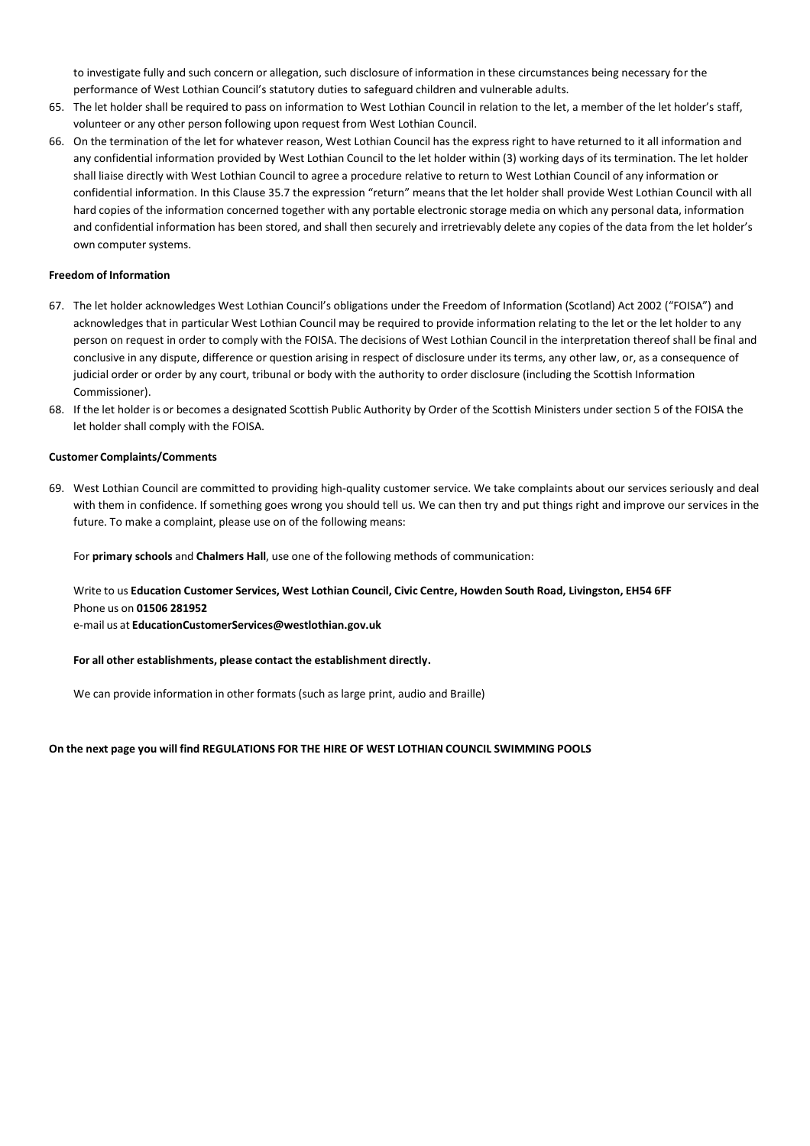to investigate fully and such concern or allegation, such disclosure of information in these circumstances being necessary for the performance of West Lothian Council's statutory duties to safeguard children and vulnerable adults.

- 65. The let holder shall be required to pass on information to West Lothian Council in relation to the let, a member of the let holder's staff, volunteer or any other person following upon request from West Lothian Council.
- 66. On the termination of the let for whatever reason, West Lothian Council has the express right to have returned to it all information and any confidential information provided by West Lothian Council to the let holder within (3) working days of its termination. The let holder shall liaise directly with West Lothian Council to agree a procedure relative to return to West Lothian Council of any information or confidential information. In this Clause 35.7 the expression "return" means that the let holder shall provide West Lothian Council with all hard copies of the information concerned together with any portable electronic storage media on which any personal data, information and confidential information has been stored, and shall then securely and irretrievably delete any copies of the data from the let holder's own computer systems.

## **Freedom of Information**

- 67. The let holder acknowledges West Lothian Council's obligations under the Freedom of Information (Scotland) Act 2002 ("FOISA") and acknowledges that in particular West Lothian Council may be required to provide information relating to the let or the let holder to any person on request in order to comply with the FOISA. The decisions of West Lothian Council in the interpretation thereof shall be final and conclusive in any dispute, difference or question arising in respect of disclosure under its terms, any other law, or, as a consequence of judicial order or order by any court, tribunal or body with the authority to order disclosure (including the Scottish Information Commissioner).
- 68. If the let holder is or becomes a designated Scottish Public Authority by Order of the Scottish Ministers under section 5 of the FOISA the let holder shall comply with the FOISA.

## **Customer Complaints/Comments**

69. West Lothian Council are committed to providing high-quality customer service. We take complaints about our services seriously and deal with them in confidence. If something goes wrong you should tell us. We can then try and put things right and improve our services in the future. To make a complaint, please use on of the following means:

For **primary schools** and **Chalmers Hall**, use one of the following methods of communication:

# Write to us **Education Customer Services, West Lothian Council, Civic Centre, Howden South Road, Livingston, EH54 6FF** Phone us on **01506 281952**

e-mail us at **EducationCustomerServices@westlothian.gov.uk**

## **For all other establishments, please contact the establishment directly.**

We can provide information in other formats (such as large print, audio and Braille)

#### **On the next page you will find REGULATIONS FOR THE HIRE OF WEST LOTHIAN COUNCIL SWIMMING POOLS**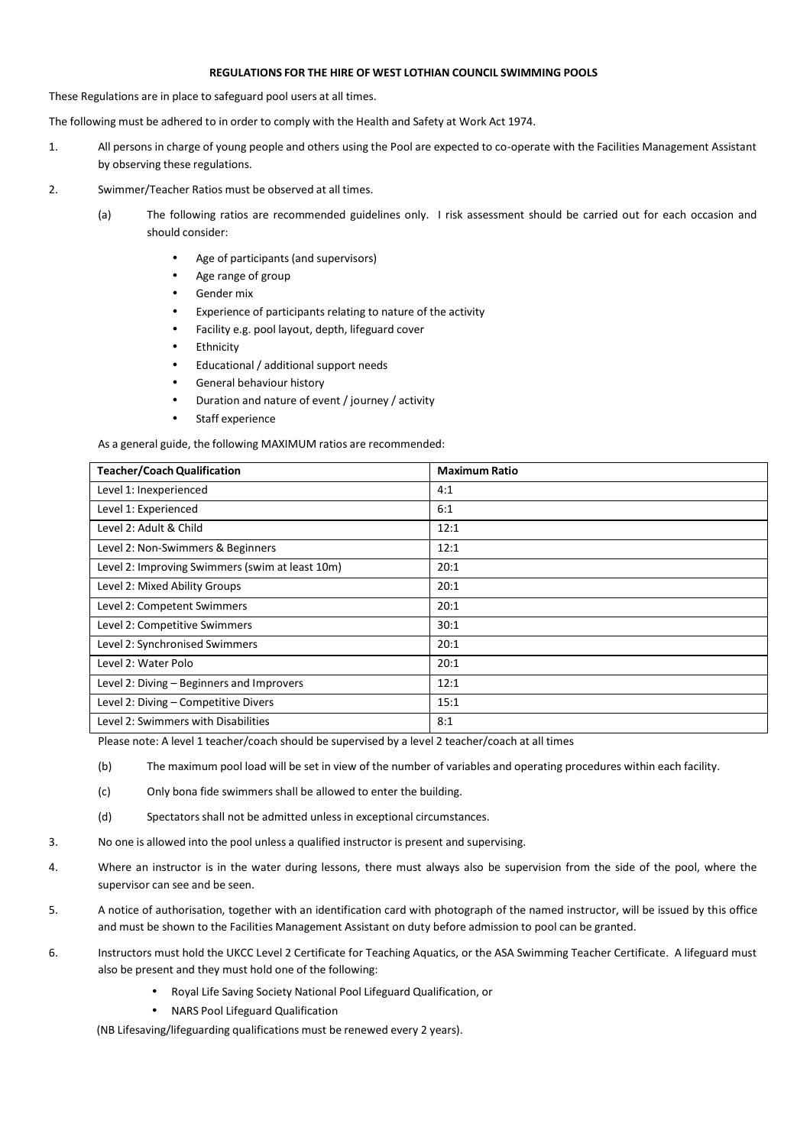## **REGULATIONS FOR THE HIRE OF WEST LOTHIAN COUNCIL SWIMMING POOLS**

These Regulations are in place to safeguard pool users at all times.

The following must be adhered to in order to comply with the Health and Safety at Work Act 1974.

- 1. All persons in charge of young people and others using the Pool are expected to co-operate with the Facilities Management Assistant by observing these regulations.
- 2. Swimmer/Teacher Ratios must be observed at all times.
	- (a) The following ratios are recommended guidelines only. I risk assessment should be carried out for each occasion and should consider:
		- Age of participants (and supervisors)
		- Age range of group
		- Gender mix
		- Experience of participants relating to nature of the activity
		- Facility e.g. pool layout, depth, lifeguard cover
		- **Ethnicity**
		- Educational / additional support needs
		- General behaviour history
		- Duration and nature of event / journey / activity
		- Staff experience

As a general guide, the following MAXIMUM ratios are recommended:

| <b>Teacher/Coach Qualification</b>              | <b>Maximum Ratio</b> |
|-------------------------------------------------|----------------------|
| Level 1: Inexperienced                          | 4:1                  |
| Level 1: Experienced                            | 6:1                  |
| Level 2: Adult & Child                          | 12:1                 |
| Level 2: Non-Swimmers & Beginners               | 12:1                 |
| Level 2: Improving Swimmers (swim at least 10m) | 20:1                 |
| Level 2: Mixed Ability Groups                   | 20:1                 |
| Level 2: Competent Swimmers                     | 20:1                 |
| Level 2: Competitive Swimmers                   | 30:1                 |
| Level 2: Synchronised Swimmers                  | 20:1                 |
| Level 2: Water Polo                             | 20:1                 |
| Level 2: Diving - Beginners and Improvers       | 12:1                 |
| Level 2: Diving - Competitive Divers            | 15:1                 |
| Level 2: Swimmers with Disabilities             | 8:1                  |

Please note: A level 1 teacher/coach should be supervised by a level 2 teacher/coach at all times

(b) The maximum pool load will be set in view of the number of variables and operating procedures within each facility.

- (c) Only bona fide swimmers shall be allowed to enter the building.
- (d) Spectators shall not be admitted unless in exceptional circumstances.
- 3. No one is allowed into the pool unless a qualified instructor is present and supervising.
- 4. Where an instructor is in the water during lessons, there must always also be supervision from the side of the pool, where the supervisor can see and be seen.
- 5. A notice of authorisation, together with an identification card with photograph of the named instructor, will be issued by this office and must be shown to the Facilities Management Assistant on duty before admission to pool can be granted.
- 6. Instructors must hold the UKCC Level 2 Certificate for Teaching Aquatics, or the ASA Swimming Teacher Certificate. A lifeguard must also be present and they must hold one of the following:
	- Royal Life Saving Society National Pool Lifeguard Qualification, or
	- NARS Pool Lifeguard Qualification

(NB Lifesaving/lifeguarding qualifications must be renewed every 2 years).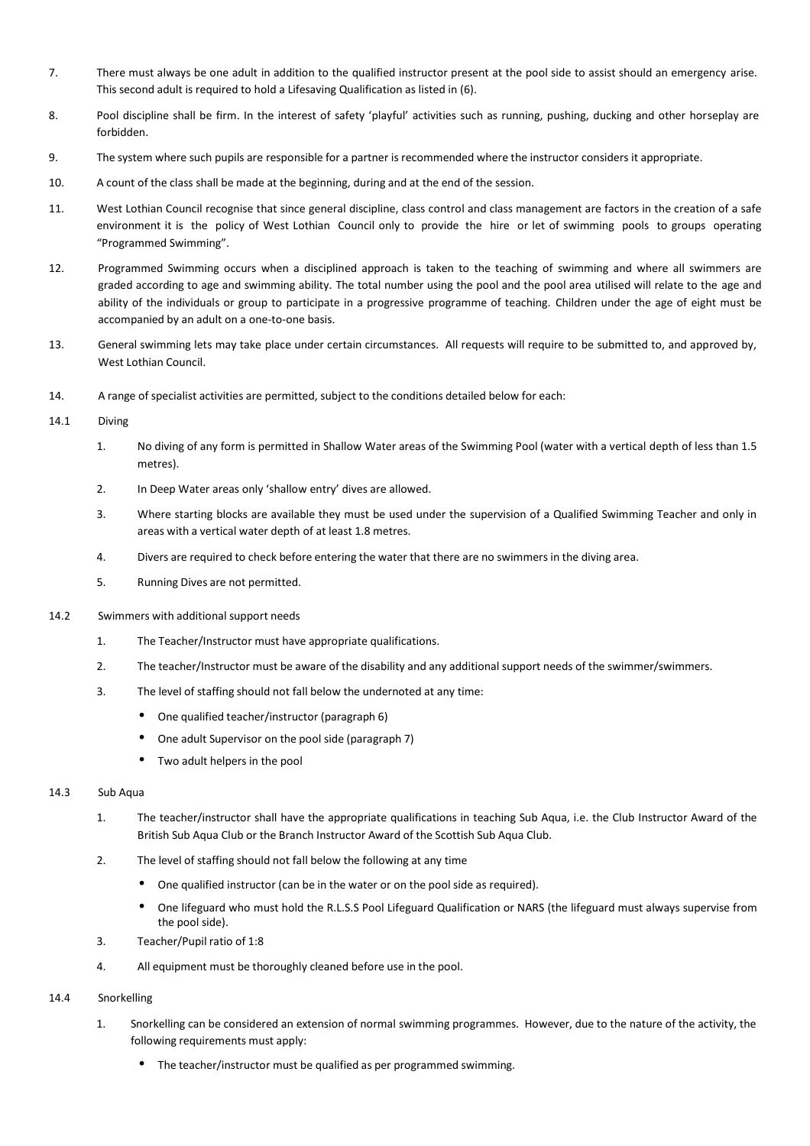- 7. There must always be one adult in addition to the qualified instructor present at the pool side to assist should an emergency arise. This second adult is required to hold a Lifesaving Qualification as listed in (6).
- 8. Pool discipline shall be firm. In the interest of safety 'playful' activities such as running, pushing, ducking and other horseplay are forbidden.
- 9. The system where such pupils are responsible for a partner is recommended where the instructor considers it appropriate.
- 10. A count of the class shall be made at the beginning, during and at the end of the session.
- 11. West Lothian Council recognise that since general discipline, class control and class management are factors in the creation of a safe environment it is the policy of West Lothian Council only to provide the hire or let of swimming pools to groups operating "Programmed Swimming".
- 12. Programmed Swimming occurs when a disciplined approach is taken to the teaching of swimming and where all swimmers are graded according to age and swimming ability. The total number using the pool and the pool area utilised will relate to the age and ability of the individuals or group to participate in a progressive programme of teaching. Children under the age of eight must be accompanied by an adult on a one-to-one basis.
- 13. General swimming lets may take place under certain circumstances. All requests will require to be submitted to, and approved by, West Lothian Council.
- 14. A range of specialist activities are permitted, subject to the conditions detailed below for each:
- 14.1 Diving
	- 1. No diving of any form is permitted in Shallow Water areas of the Swimming Pool (water with a vertical depth of less than 1.5 metres).
	- 2. In Deep Water areas only 'shallow entry' dives are allowed.
	- 3. Where starting blocks are available they must be used under the supervision of a Qualified Swimming Teacher and only in areas with a vertical water depth of at least 1.8 metres.
	- 4. Divers are required to check before entering the water that there are no swimmers in the diving area.
	- 5. Running Dives are not permitted.
- 14.2 Swimmers with additional support needs
	- 1. The Teacher/Instructor must have appropriate qualifications.
	- 2. The teacher/Instructor must be aware of the disability and any additional support needs of the swimmer/swimmers.
	- 3. The level of staffing should not fall below the undernoted at any time:
		- One qualified teacher/instructor (paragraph 6)
		- One adult Supervisor on the pool side (paragraph 7)
		- Two adult helpers in the pool

## 14.3 Sub Aqua

- 1. The teacher/instructor shall have the appropriate qualifications in teaching Sub Aqua, i.e. the Club Instructor Award of the British Sub Aqua Club or the Branch Instructor Award of the Scottish Sub Aqua Club.
- 2. The level of staffing should not fall below the following at any time
	- One qualified instructor (can be in the water or on the pool side as required).
	- One lifeguard who must hold the R.L.S.S Pool Lifeguard Qualification or NARS (the lifeguard must always supervise from the pool side).
- 3. Teacher/Pupil ratio of 1:8
- 4. All equipment must be thoroughly cleaned before use in the pool.

# 14.4 Snorkelling

- 1. Snorkelling can be considered an extension of normal swimming programmes. However, due to the nature of the activity, the following requirements must apply:
	- The teacher/instructor must be qualified as per programmed swimming.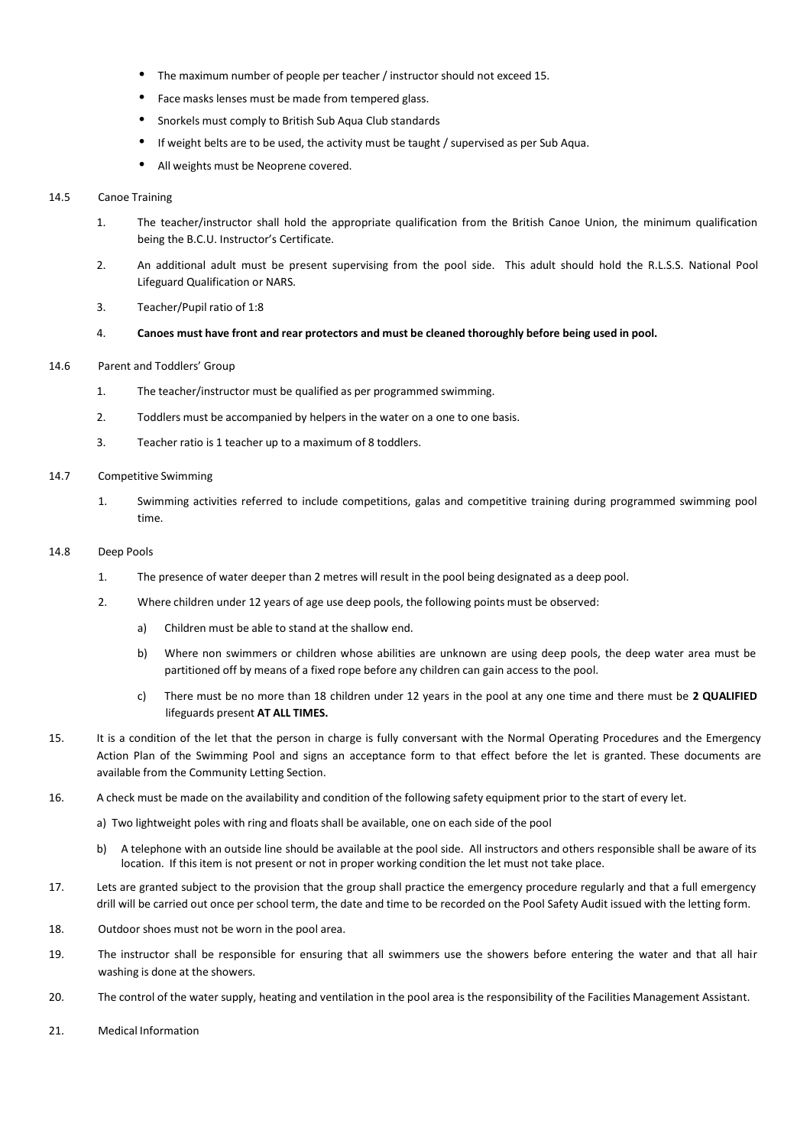- The maximum number of people per teacher / instructor should not exceed 15.
- Face masks lenses must be made from tempered glass.
- Snorkels must comply to British Sub Aqua Club standards
- If weight belts are to be used, the activity must be taught / supervised as per Sub Aqua.
- All weights must be Neoprene covered.

#### 14.5 Canoe Training

- 1. The teacher/instructor shall hold the appropriate qualification from the British Canoe Union, the minimum qualification being the B.C.U. Instructor's Certificate.
- 2. An additional adult must be present supervising from the pool side. This adult should hold the R.L.S.S. National Pool Lifeguard Qualification or NARS.
- 3. Teacher/Pupil ratio of 1:8
- 4. **Canoes must have front and rear protectors and must be cleaned thoroughly before being used in pool.**

#### 14.6 Parent and Toddlers' Group

- 1. The teacher/instructor must be qualified as per programmed swimming.
- 2. Toddlers must be accompanied by helpers in the water on a one to one basis.
- 3. Teacher ratio is 1 teacher up to a maximum of 8 toddlers.

#### 14.7 Competitive Swimming

1. Swimming activities referred to include competitions, galas and competitive training during programmed swimming pool time.

#### 14.8 Deep Pools

- 1. The presence of water deeper than 2 metres will result in the pool being designated as a deep pool.
- 2. Where children under 12 years of age use deep pools, the following points must be observed:
	- a) Children must be able to stand at the shallow end.
	- b) Where non swimmers or children whose abilities are unknown are using deep pools, the deep water area must be partitioned off by means of a fixed rope before any children can gain access to the pool.
	- c) There must be no more than 18 children under 12 years in the pool at any one time and there must be **2 QUALIFIED** lifeguards present **AT ALL TIMES.**
- 15. It is a condition of the let that the person in charge is fully conversant with the Normal Operating Procedures and the Emergency Action Plan of the Swimming Pool and signs an acceptance form to that effect before the let is granted. These documents are available from the Community Letting Section.
- 16. A check must be made on the availability and condition of the following safety equipment prior to the start of every let.
	- a) Two lightweight poles with ring and floats shall be available, one on each side of the pool
	- b) A telephone with an outside line should be available at the pool side. All instructors and others responsible shall be aware of its location. If this item is not present or not in proper working condition the let must not take place.
- 17. Lets are granted subject to the provision that the group shall practice the emergency procedure regularly and that a full emergency drill will be carried out once per school term, the date and time to be recorded on the Pool Safety Audit issued with the letting form.
- 18. Outdoor shoes must not be worn in the pool area.
- 19. The instructor shall be responsible for ensuring that all swimmers use the showers before entering the water and that all hair washing is done at the showers.
- 20. The control of the water supply, heating and ventilation in the pool area is the responsibility of the Facilities Management Assistant.
- 21. Medical Information